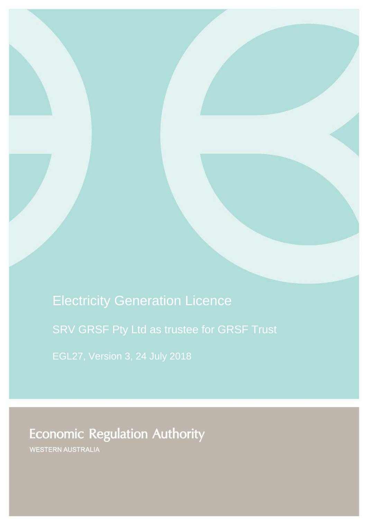Electricity Generation Licence

SRV GRSF Pty Ltd as trustee for GRSF Trust

**Economic Regulation Authority** 

WESTERN AUSTRALIA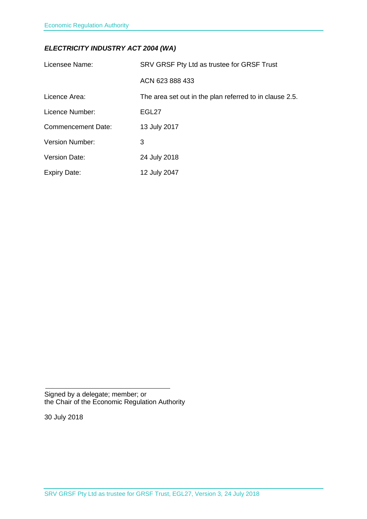# *ELECTRICITY INDUSTRY ACT 2004 (WA)*

| Licensee Name:            | SRV GRSF Pty Ltd as trustee for GRSF Trust              |
|---------------------------|---------------------------------------------------------|
|                           | ACN 623 888 433                                         |
| Licence Area:             | The area set out in the plan referred to in clause 2.5. |
| Licence Number:           | EGL27                                                   |
| <b>Commencement Date:</b> | 13 July 2017                                            |
| <b>Version Number:</b>    | 3                                                       |
| <b>Version Date:</b>      | 24 July 2018                                            |
| <b>Expiry Date:</b>       | 12 July 2047                                            |

Signed by a delegate; member; or the Chair of the Economic Regulation Authority

30 July 2018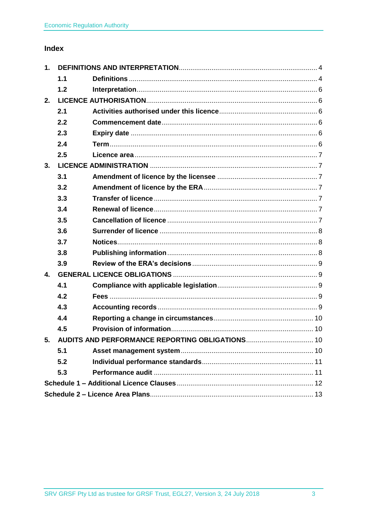# **Index**

| 1.             |     |                                                    |  |
|----------------|-----|----------------------------------------------------|--|
|                | 1.1 |                                                    |  |
|                | 1.2 |                                                    |  |
| 2.             |     |                                                    |  |
|                | 2.1 |                                                    |  |
|                | 2.2 |                                                    |  |
|                | 2.3 |                                                    |  |
|                | 2.4 |                                                    |  |
|                | 2.5 |                                                    |  |
| 3.             |     |                                                    |  |
|                | 3.1 |                                                    |  |
|                | 3.2 |                                                    |  |
|                | 3.3 |                                                    |  |
|                | 3.4 |                                                    |  |
|                | 3.5 |                                                    |  |
|                | 3.6 |                                                    |  |
|                | 3.7 |                                                    |  |
|                | 3.8 |                                                    |  |
|                | 3.9 |                                                    |  |
| $\mathbf{4}$ . |     |                                                    |  |
|                | 4.1 |                                                    |  |
|                | 4.2 |                                                    |  |
|                | 4.3 |                                                    |  |
|                | 4.4 |                                                    |  |
|                | 4.5 |                                                    |  |
|                |     | 5. AUDITS AND PERFORMANCE REPORTING OBLIGATIONS 10 |  |
|                | 5.1 |                                                    |  |
|                | 5.2 |                                                    |  |
|                | 5.3 |                                                    |  |
|                |     |                                                    |  |
|                |     |                                                    |  |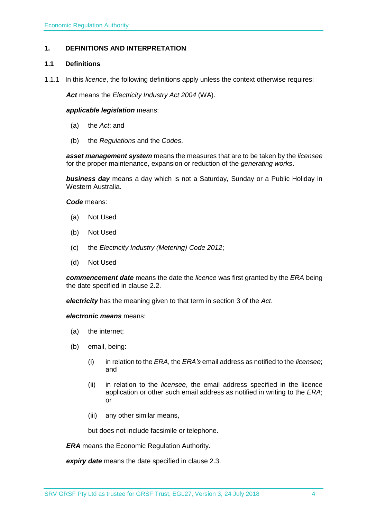## <span id="page-3-0"></span>**1. DEFINITIONS AND INTERPRETATION**

### <span id="page-3-1"></span>**1.1 Definitions**

1.1.1 In this *licence*, the following definitions apply unless the context otherwise requires:

*Act* means the *Electricity Industry Act 2004* (WA).

#### *applicable legislation* means:

- (a) the *Act*; and
- (b) the *Regulations* and the *Codes*.

*asset management system* means the measures that are to be taken by the *licensee* for the proper maintenance, expansion or reduction of the *generating works*.

*business day* means a day which is not a Saturday, Sunday or a Public Holiday in Western Australia.

*Code* means:

- (a) Not Used
- (b) Not Used
- (c) the *Electricity Industry (Metering) Code 2012*;
- (d) Not Used

*commencement date* means the date the *licence* was first granted by the *ERA* being the date specified in clause 2.2.

*electricity* has the meaning given to that term in section 3 of the *Act*.

*electronic means* means:

- (a) the internet;
- (b) email, being:
	- (i) in relation to the *ERA*, the *ERA's* email address as notified to the *licensee*; and
	- (ii) in relation to the *licensee*, the email address specified in the licence application or other such email address as notified in writing to the *ERA*; or
	- (iii) any other similar means,

but does not include facsimile or telephone.

*ERA* means the Economic Regulation Authority.

*expiry date* means the date specified in clause 2.3.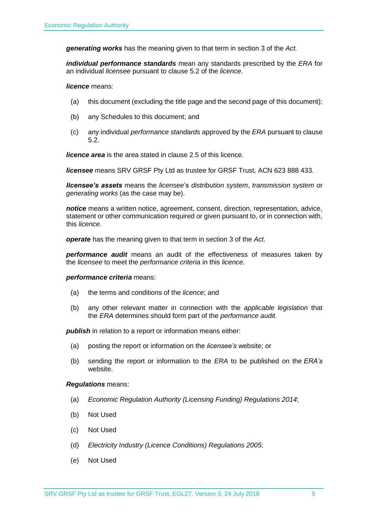*generating works* has the meaning given to that term in section 3 of the *Act.*

*individual performance standards* mean any standards prescribed by the *ERA* for an individual *licensee* pursuant to clause 5.2 of the *licence*.

*licence* means:

- (a) this document (excluding the title page and the second page of this document);
- (b) any Schedules to this document; and
- (c) any individual *performance standards* approved by the *ERA* pursuant to clause 5.2.

*licence area* is the area stated in clause 2.5 of this licence.

*licensee* means SRV GRSF Pty Ltd as trustee for GRSF Trust, ACN 623 888 433.

*licensee's assets* means the *licensee*'s *distribution system*, *transmission system* or *generating works* (as the case may be).

*notice* means a written notice, agreement, consent, direction, representation, advice, statement or other communication required or given pursuant to, or in connection with, this *licence*.

*operate* has the meaning given to that term in section 3 of the *Act*.

*performance audit* means an audit of the effectiveness of measures taken by the *licensee* to meet the *performance criteria* in this *licence*.

#### *performance criteria* means:

- (a) the terms and conditions of the *licence*; and
- (b) any other relevant matter in connection with the *applicable legislation* that the *ERA* determines should form part of the *performance audit*.

**publish** in relation to a report or information means either:

- (a) posting the report or information on the *licensee's* website; or
- (b) sending the report or information to the *ERA* to be published on the *ERA's* website.

#### *Regulations* means:

- (a) *Economic Regulation Authority (Licensing Funding) Regulations 2014*;
- (b) Not Used
- (c) Not Used
- (d) *Electricity Industry (Licence Conditions) Regulations 2005*;
- (e) Not Used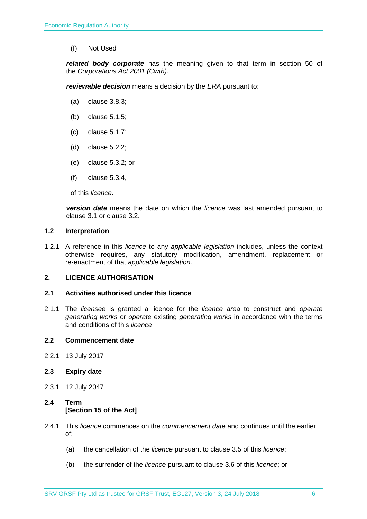(f) Not Used

*related body corporate* has the meaning given to that term in section 50 of the *Corporations Act 2001 (Cwth)*.

*reviewable decision* means a decision by the *ERA* pursuant to:

- (a) clause 3.8.3;
- (b) clause 5.1.5;
- (c) clause 5.1.7;
- (d) clause 5.2.2;
- (e) clause 5.3.2; or
- (f) clause 5.3.4,

of this *licence*.

*version date* means the date on which the *licence* was last amended pursuant to clause 3.1 or clause 3.2.

#### <span id="page-5-0"></span>**1.2 Interpretation**

1.2.1 A reference in this *licence* to any *applicable legislation* includes, unless the context otherwise requires, any statutory modification, amendment, replacement or re-enactment of that *applicable legislation*.

### <span id="page-5-1"></span>**2. LICENCE AUTHORISATION**

#### <span id="page-5-2"></span>**2.1 Activities authorised under this licence**

2.1.1 The *licensee* is granted a licence for the *licence area* to construct and *operate generating works* or *operate* existing *generating works* in accordance with the terms and conditions of this *licence*.

#### <span id="page-5-3"></span>**2.2 Commencement date**

2.2.1 13 July 2017

### <span id="page-5-4"></span>**2.3 Expiry date**

2.3.1 12 July 2047

## <span id="page-5-5"></span>**2.4 Term [Section 15 of the Act]**

- 2.4.1 This *licence* commences on the *commencement date* and continues until the earlier of:
	- (a) the cancellation of the *licence* pursuant to clause 3.5 of this *licence*;
	- (b) the surrender of the *licence* pursuant to clause 3.6 of this *licence*; or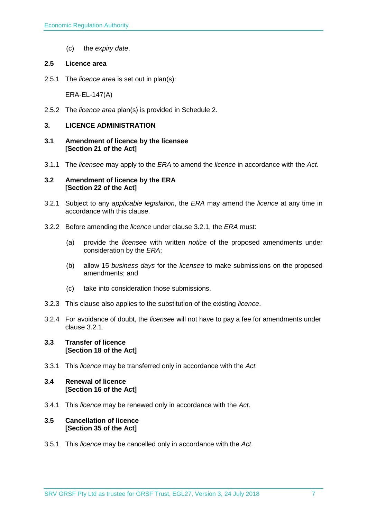(c) the *expiry date*.

#### <span id="page-6-0"></span>**2.5 Licence area**

2.5.1 The *licence area* is set out in plan(s):

ERA-EL-147(A)

2.5.2 The *licence area* plan(s) is provided in Schedule 2.

#### <span id="page-6-1"></span>**3. LICENCE ADMINISTRATION**

- <span id="page-6-2"></span>**3.1 Amendment of licence by the licensee [Section 21 of the Act]**
- 3.1.1 The *licensee* may apply to the *ERA* to amend the *licence* in accordance with the *Act.*

#### <span id="page-6-3"></span>**3.2 Amendment of licence by the ERA [Section 22 of the Act]**

- 3.2.1 Subject to any *applicable legislation*, the *ERA* may amend the *licence* at any time in accordance with this clause.
- 3.2.2 Before amending the *licence* under clause 3.2.1, the *ERA* must:
	- (a) provide the *licensee* with written *notice* of the proposed amendments under consideration by the *ERA*;
	- (b) allow 15 *business days* for the *licensee* to make submissions on the proposed amendments; and
	- (c) take into consideration those submissions.
- 3.2.3 This clause also applies to the substitution of the existing *licence*.
- 3.2.4 For avoidance of doubt, the *licensee* will not have to pay a fee for amendments under clause 3.2.1.

#### <span id="page-6-4"></span>**3.3 Transfer of licence [Section 18 of the Act]**

3.3.1 This *licence* may be transferred only in accordance with the *Act.*

#### <span id="page-6-5"></span>**3.4 Renewal of licence [Section 16 of the Act]**

3.4.1 This *licence* may be renewed only in accordance with the *Act*.

#### <span id="page-6-6"></span>**3.5 Cancellation of licence [Section 35 of the Act]**

3.5.1 This *licence* may be cancelled only in accordance with the *Act*.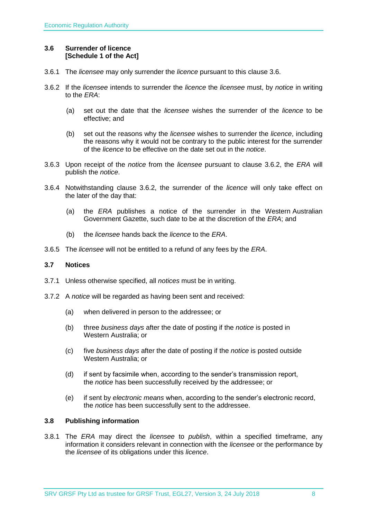### <span id="page-7-0"></span>**3.6 Surrender of licence [Schedule 1 of the Act]**

- 3.6.1 The *licensee* may only surrender the *licence* pursuant to this clause 3.6.
- 3.6.2 If the *licensee* intends to surrender the *licence* the *licensee* must, by *notice* in writing to the *ERA*:
	- (a) set out the date that the *licensee* wishes the surrender of the *licence* to be effective; and
	- (b) set out the reasons why the *licensee* wishes to surrender the *licence*, including the reasons why it would not be contrary to the public interest for the surrender of the *licence* to be effective on the date set out in the *notice*.
- 3.6.3 Upon receipt of the *notice* from the *licensee* pursuant to clause 3.6.2, the *ERA* will publish the *notice*.
- 3.6.4 Notwithstanding clause 3.6.2, the surrender of the *licence* will only take effect on the later of the day that:
	- (a) the *ERA* publishes a notice of the surrender in the Western Australian Government Gazette, such date to be at the discretion of the *ERA*; and
	- (b) the *licensee* hands back the *licence* to the *ERA*.
- 3.6.5 The *licensee* will not be entitled to a refund of any fees by the *ERA*.

### <span id="page-7-1"></span>**3.7 Notices**

- 3.7.1 Unless otherwise specified, all *notices* must be in writing.
- 3.7.2 A *notice* will be regarded as having been sent and received:
	- (a) when delivered in person to the addressee; or
	- (b) three *business days* after the date of posting if the *notice* is posted in Western Australia; or
	- (c) five *business days* after the date of posting if the *notice* is posted outside Western Australia; or
	- (d) if sent by facsimile when, according to the sender's transmission report, the *notice* has been successfully received by the addressee; or
	- (e) if sent by *electronic means* when, according to the sender's electronic record, the *notice* has been successfully sent to the addressee.

### <span id="page-7-2"></span>**3.8 Publishing information**

3.8.1 The *ERA* may direct the *licensee* to *publish*, within a specified timeframe, any information it considers relevant in connection with the *licensee* or the performance by the *licensee* of its obligations under this *licence*.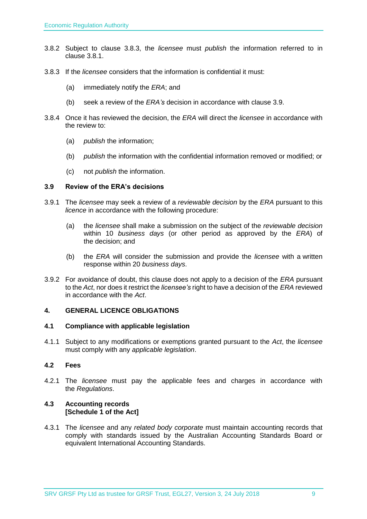- 3.8.2 Subject to clause 3.8.3, the *licensee* must *publish* the information referred to in clause 3.8.1.
- 3.8.3 If the *licensee* considers that the information is confidential it must:
	- (a) immediately notify the *ERA*; and
	- (b) seek a review of the *ERA's* decision in accordance with clause 3.9.
- 3.8.4 Once it has reviewed the decision, the *ERA* will direct the *licensee* in accordance with the review to:
	- (a) *publish* the information;
	- (b) *publish* the information with the confidential information removed or modified; or
	- (c) not *publish* the information.

#### <span id="page-8-0"></span>**3.9 Review of the ERA's decisions**

- 3.9.1 The *licensee* may seek a review of a *reviewable decision* by the *ERA* pursuant to this *licence* in accordance with the following procedure:
	- (a) the *licensee* shall make a submission on the subject of the *reviewable decision* within 10 *business days* (or other period as approved by the *ERA*) of the decision; and
	- (b) the *ERA* will consider the submission and provide the *licensee* with a written response within 20 *business days*.
- 3.9.2 For avoidance of doubt, this clause does not apply to a decision of the *ERA* pursuant to the *Act*, nor does it restrict the *licensee's* right to have a decision of the *ERA* reviewed in accordance with the *Act*.

### <span id="page-8-1"></span>**4. GENERAL LICENCE OBLIGATIONS**

#### <span id="page-8-2"></span>**4.1 Compliance with applicable legislation**

4.1.1 Subject to any modifications or exemptions granted pursuant to the *Act*, the *licensee* must comply with any *applicable legislation*.

### <span id="page-8-3"></span>**4.2 Fees**

4.2.1 The *licensee* must pay the applicable fees and charges in accordance with the *Regulations*.

#### <span id="page-8-4"></span>**4.3 Accounting records [Schedule 1 of the Act]**

4.3.1 The *licensee* and any *related body corporate* must maintain accounting records that comply with standards issued by the Australian Accounting Standards Board or equivalent International Accounting Standards.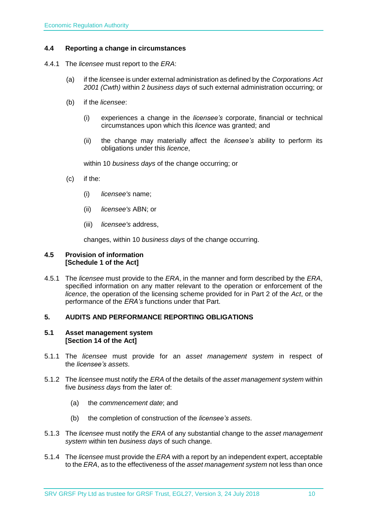### <span id="page-9-0"></span>**4.4 Reporting a change in circumstances**

- 4.4.1 The *licensee* must report to the *ERA*:
	- (a) if the *licensee* is under external administration as defined by the *Corporations Act 2001 (Cwth)* within 2 *business days* of such external administration occurring; or
	- (b) if the *licensee*:
		- (i) experiences a change in the *licensee's* corporate, financial or technical circumstances upon which this *licence* was granted; and
		- (ii) the change may materially affect the *licensee's* ability to perform its obligations under this *licence*,

within 10 *business days* of the change occurring; or

- (c) if the:
	- (i) *licensee's* name;
	- (ii) *licensee's* ABN; or
	- (iii) *licensee's* address,

changes, within 10 *business days* of the change occurring.

#### <span id="page-9-1"></span>**4.5 Provision of information [Schedule 1 of the Act]**

4.5.1 The *licensee* must provide to the *ERA*, in the manner and form described by the *ERA*, specified information on any matter relevant to the operation or enforcement of the *licence*, the operation of the licensing scheme provided for in Part 2 of the *Act*, or the performance of the *ERA's* functions under that Part.

### <span id="page-9-2"></span>**5. AUDITS AND PERFORMANCE REPORTING OBLIGATIONS**

#### <span id="page-9-3"></span>**5.1 Asset management system [Section 14 of the Act]**

- 5.1.1 The *licensee* must provide for an *asset management system* in respect of the *licensee's assets*.
- 5.1.2 The *licensee* must notify the *ERA* of the details of the *asset management system* within five *business days* from the later of:
	- (a) the *commencement date*; and
	- (b) the completion of construction of the *licensee's assets*.
- 5.1.3 The *licensee* must notify the *ERA* of any substantial change to the *asset management system* within ten *business days* of such change.
- 5.1.4 The *licensee* must provide the *ERA* with a report by an independent expert, acceptable to the *ERA*, as to the effectiveness of the *asset management system* not less than once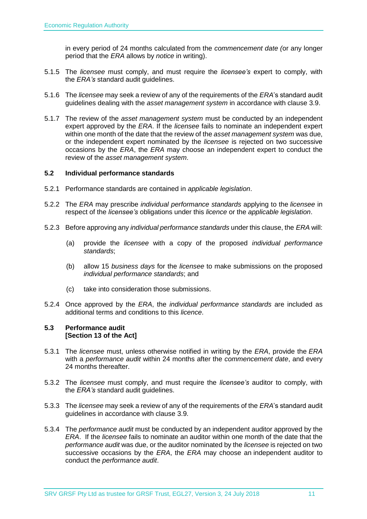in every period of 24 months calculated from the *commencement date (*or any longer period that the *ERA* allows by *notice* in writing).

- 5.1.5 The *licensee* must comply, and must require the *licensee's* expert to comply, with the *ERA's* standard audit guidelines.
- 5.1.6 The *licensee* may seek a review of any of the requirements of the *ERA*'s standard audit guidelines dealing with the *asset management system* in accordance with clause 3.9.
- 5.1.7 The review of the *asset management system* must be conducted by an independent expert approved by the *ERA*. If the *licensee* fails to nominate an independent expert within one month of the date that the review of the *asset management system* was due, or the independent expert nominated by the *licensee* is rejected on two successive occasions by the *ERA*, the *ERA* may choose an independent expert to conduct the review of the *asset management system*.

#### <span id="page-10-0"></span>**5.2 Individual performance standards**

- 5.2.1 Performance standards are contained in *applicable legislation*.
- 5.2.2 The *ERA* may prescribe *individual performance standards* applying to the *licensee* in respect of the *licensee's* obligations under this *licence* or the *applicable legislation*.
- 5.2.3 Before approving any *individual performance standards* under this clause, the *ERA* will:
	- (a) provide the *licensee* with a copy of the proposed *individual performance standards*;
	- (b) allow 15 *business days* for the *licensee* to make submissions on the proposed *individual performance standards*; and
	- (c) take into consideration those submissions.
- 5.2.4 Once approved by the *ERA*, the *individual performance standards* are included as additional terms and conditions to this *licence*.

### <span id="page-10-1"></span>**5.3 Performance audit [Section 13 of the Act]**

- 5.3.1 The *licensee* must, unless otherwise notified in writing by the *ERA*, provide the *ERA* with a *performance audit* within 24 months after the *commencement date*, and every 24 months thereafter.
- 5.3.2 The *licensee* must comply, and must require the *licensee's* auditor to comply, with the *ERA's* standard audit guidelines.
- 5.3.3 The *licensee* may seek a review of any of the requirements of the *ERA*'s standard audit guidelines in accordance with clause 3.9.
- 5.3.4 The *performance audit* must be conducted by an independent auditor approved by the *ERA*. If the *licensee* fails to nominate an auditor within one month of the date that the *performance audit* was due, or the auditor nominated by the *licensee* is rejected on two successive occasions by the *ERA*, the *ERA* may choose an independent auditor to conduct the *performance audit*.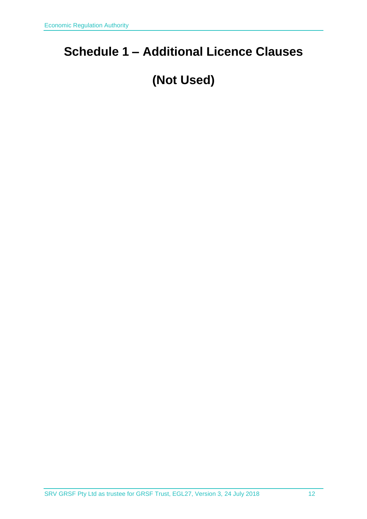# <span id="page-11-0"></span>**Schedule 1 – Additional Licence Clauses**

# **(Not Used)**

SRV GRSF Pty Ltd as trustee for GRSF Trust, EGL27, Version 3, 24 July 2018 12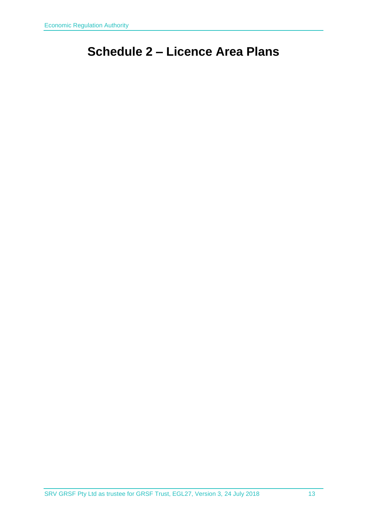# <span id="page-12-0"></span>**Schedule 2 – Licence Area Plans**